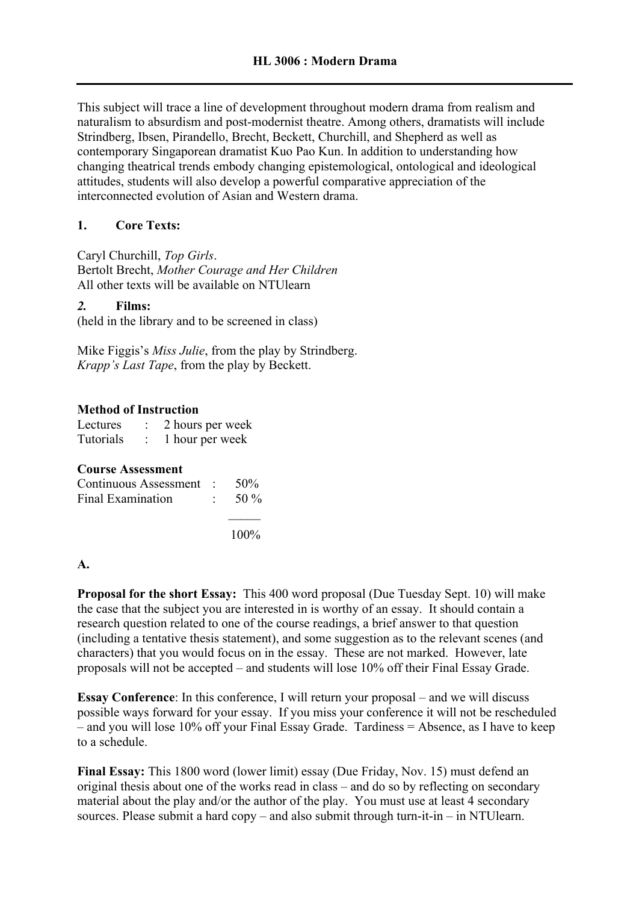This subject will trace a line of development throughout modern drama from realism and naturalism to absurdism and post-modernist theatre. Among others, dramatists will include Strindberg, Ibsen, Pirandello, Brecht, Beckett, Churchill, and Shepherd as well as contemporary Singaporean dramatist Kuo Pao Kun. In addition to understanding how changing theatrical trends embody changing epistemological, ontological and ideological attitudes, students will also develop a powerful comparative appreciation of the interconnected evolution of Asian and Western drama.

## **1. Core Texts:**

Caryl Churchill, *Top Girls*. Bertolt Brecht, *Mother Courage and Her Children* All other texts will be available on NTUlearn

## *2.* **Films:**

(held in the library and to be screened in class)

Mike Figgis's *Miss Julie*, from the play by Strindberg. *Krapp's Last Tape*, from the play by Beckett.

## **Method of Instruction**

| Lectures  | 2 hours per week |
|-----------|------------------|
| Tutorials | 1 hour per week  |

|  | <b>Course Assessment</b> |
|--|--------------------------|
|--|--------------------------|

| Continuous Assessment : $50\%$ |                   |
|--------------------------------|-------------------|
| Final Examination              | $\therefore$ 50 % |
|                                |                   |

100%

## **A.**

**Proposal for the short Essay:** This 400 word proposal (Due Tuesday Sept. 10) will make the case that the subject you are interested in is worthy of an essay. It should contain a research question related to one of the course readings, a brief answer to that question (including a tentative thesis statement), and some suggestion as to the relevant scenes (and characters) that you would focus on in the essay. These are not marked. However, late proposals will not be accepted – and students will lose 10% off their Final Essay Grade.

**Essay Conference**: In this conference, I will return your proposal – and we will discuss possible ways forward for your essay. If you miss your conference it will not be rescheduled – and you will lose 10% off your Final Essay Grade. Tardiness = Absence, as I have to keep to a schedule.

**Final Essay:** This 1800 word (lower limit) essay (Due Friday, Nov. 15) must defend an original thesis about one of the works read in class – and do so by reflecting on secondary material about the play and/or the author of the play. You must use at least 4 secondary sources. Please submit a hard copy – and also submit through turn-it-in – in NTUlearn.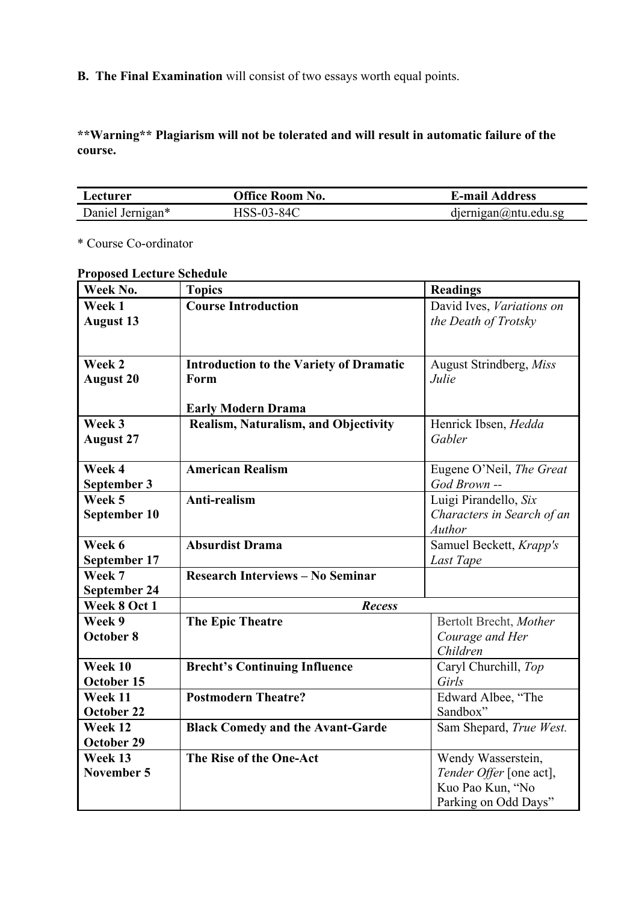**B. The Final Examination** will consist of two essays worth equal points.

**\*\*Warning\*\* Plagiarism will not be tolerated and will result in automatic failure of the course.**

| Lecturer         | <b>Office Room No.</b> | <b>E-mail Address</b>         |
|------------------|------------------------|-------------------------------|
| Daniel Jernigan* | HSS-03-84C             | $d$ iernigan $@$ ntu. edu. sg |

\* Course Co-ordinator

|  | <b>Proposed Lecture Schedule</b> |  |
|--|----------------------------------|--|
|  |                                  |  |

| Week No.            | <b>Topics</b>                                  | <b>Readings</b>            |
|---------------------|------------------------------------------------|----------------------------|
| Week 1              | <b>Course Introduction</b>                     | David Ives, Variations on  |
| <b>August 13</b>    |                                                | the Death of Trotsky       |
|                     |                                                |                            |
|                     |                                                |                            |
| Week 2              | <b>Introduction to the Variety of Dramatic</b> | August Strindberg, Miss    |
| <b>August 20</b>    | Form                                           | Julie                      |
|                     | <b>Early Modern Drama</b>                      |                            |
| Week 3              | Realism, Naturalism, and Objectivity           | Henrick Ibsen, Hedda       |
| <b>August 27</b>    |                                                | Gabler                     |
|                     |                                                |                            |
| Week 4              | <b>American Realism</b>                        | Eugene O'Neil, The Great   |
| September 3         |                                                | God Brown --               |
| Week 5              | Anti-realism                                   | Luigi Pirandello, Six      |
| September 10        |                                                | Characters in Search of an |
|                     |                                                | <b>Author</b>              |
| Week 6              | <b>Absurdist Drama</b>                         | Samuel Beckett, Krapp's    |
| September 17        |                                                | Last Tape                  |
| Week 7              | <b>Research Interviews - No Seminar</b>        |                            |
| <b>September 24</b> |                                                |                            |
| Week 8 Oct 1        | <b>Recess</b>                                  |                            |
| Week 9              | <b>The Epic Theatre</b>                        | Bertolt Brecht, Mother     |
| October 8           |                                                | Courage and Her            |
|                     |                                                | Children                   |
| Week 10             | <b>Brecht's Continuing Influence</b>           | Caryl Churchill, Top       |
| October 15          |                                                | Girls                      |
| Week 11             | <b>Postmodern Theatre?</b>                     | Edward Albee, "The         |
| October 22          |                                                | Sandbox"                   |
| Week 12             | <b>Black Comedy and the Avant-Garde</b>        | Sam Shepard, True West.    |
| October 29          |                                                |                            |
| Week 13             | The Rise of the One-Act                        | Wendy Wasserstein,         |
| November 5          |                                                | Tender Offer [one act],    |
|                     |                                                | Kuo Pao Kun, "No           |
|                     |                                                | Parking on Odd Days"       |